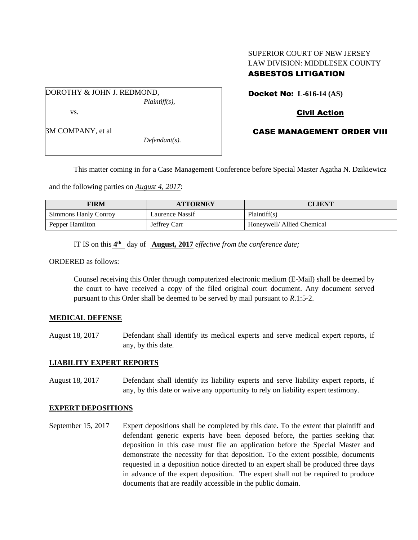# SUPERIOR COURT OF NEW JERSEY LAW DIVISION: MIDDLESEX COUNTY ASBESTOS LITIGATION

DOROTHY & JOHN J. REDMOND, *Plaintiff(s),* vs.

Docket No: **L-616-14 (AS)** 

# Civil Action

CASE MANAGEMENT ORDER VIII

This matter coming in for a Case Management Conference before Special Master Agatha N. Dzikiewicz

and the following parties on *August 4, 2017*:

| FIRM                 | <b>ATTORNEY</b> | CLIENT                     |
|----------------------|-----------------|----------------------------|
| Simmons Hanly Conroy | Laurence Nassif | Plaintiff(s)               |
| Pepper Hamilton      | Jeffrey Carr    | Honeywell/ Allied Chemical |

IT IS on this  $4^{\text{th}}$  day of **August, 2017** *effective from the conference date*;

ORDERED as follows:

Counsel receiving this Order through computerized electronic medium (E-Mail) shall be deemed by the court to have received a copy of the filed original court document. Any document served pursuant to this Order shall be deemed to be served by mail pursuant to *R*.1:5-2.

#### **MEDICAL DEFENSE**

August 18, 2017 Defendant shall identify its medical experts and serve medical expert reports, if any, by this date.

#### **LIABILITY EXPERT REPORTS**

August 18, 2017 Defendant shall identify its liability experts and serve liability expert reports, if any, by this date or waive any opportunity to rely on liability expert testimony.

#### **EXPERT DEPOSITIONS**

September 15, 2017 Expert depositions shall be completed by this date. To the extent that plaintiff and defendant generic experts have been deposed before, the parties seeking that deposition in this case must file an application before the Special Master and demonstrate the necessity for that deposition. To the extent possible, documents requested in a deposition notice directed to an expert shall be produced three days in advance of the expert deposition. The expert shall not be required to produce documents that are readily accessible in the public domain.

3M COMPANY, et al

*Defendant(s).*